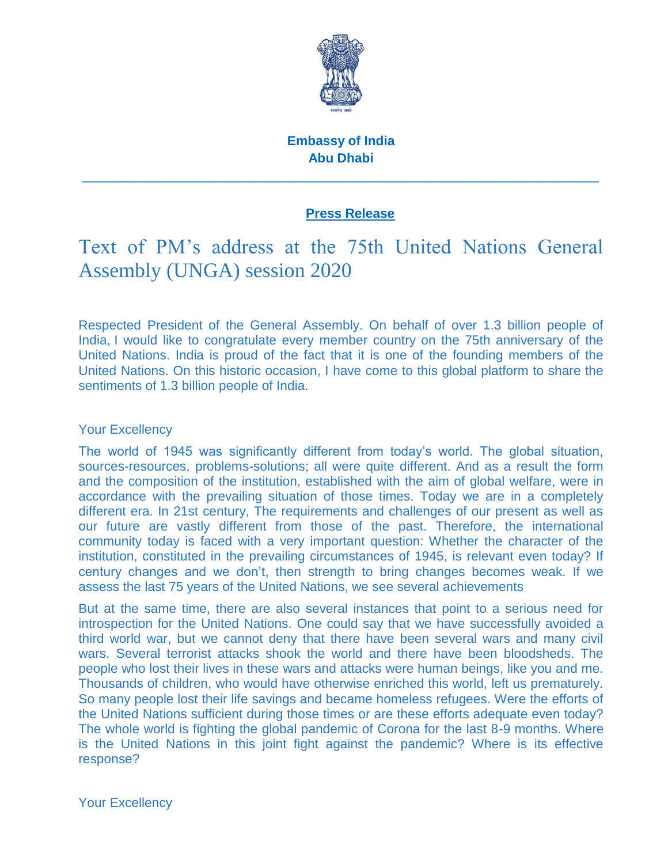

# **Embassy of India Abu Dhabi**

\_\_\_\_\_\_\_\_\_\_\_\_\_\_\_\_\_\_\_\_\_\_\_\_\_\_\_\_\_\_\_\_\_\_\_\_\_\_\_\_\_\_\_\_\_\_\_\_\_\_\_\_\_\_\_\_\_\_\_\_\_\_\_\_\_\_\_\_\_\_\_

# **Press Release**

# Text of PM's address at the 75th United Nations General Assembly (UNGA) session 2020

Respected President of the General Assembly. On behalf of over 1.3 billion people of India, I would like to congratulate every member country on the 75th anniversary of the United Nations. India is proud of the fact that it is one of the founding members of the United Nations. On this historic occasion, I have come to this global platform to share the sentiments of 1.3 billion people of India.

## Your Excellency

The world of 1945 was significantly different from today"s world. The global situation, sources-resources, problems-solutions; all were quite different. And as a result the form and the composition of the institution, established with the aim of global welfare, were in accordance with the prevailing situation of those times. Today we are in a completely different era. In 21st century, The requirements and challenges of our present as well as our future are vastly different from those of the past. Therefore, the international community today is faced with a very important question: Whether the character of the institution, constituted in the prevailing circumstances of 1945, is relevant even today? If century changes and we don"t, then strength to bring changes becomes weak. If we assess the last 75 years of the United Nations, we see several achievements

But at the same time, there are also several instances that point to a serious need for introspection for the United Nations. One could say that we have successfully avoided a third world war, but we cannot deny that there have been several wars and many civil wars. Several terrorist attacks shook the world and there have been bloodsheds. The people who lost their lives in these wars and attacks were human beings, like you and me. Thousands of children, who would have otherwise enriched this world, left us prematurely. So many people lost their life savings and became homeless refugees. Were the efforts of the United Nations sufficient during those times or are these efforts adequate even today? The whole world is fighting the global pandemic of Corona for the last 8-9 months. Where is the United Nations in this joint fight against the pandemic? Where is its effective response?

Your Excellency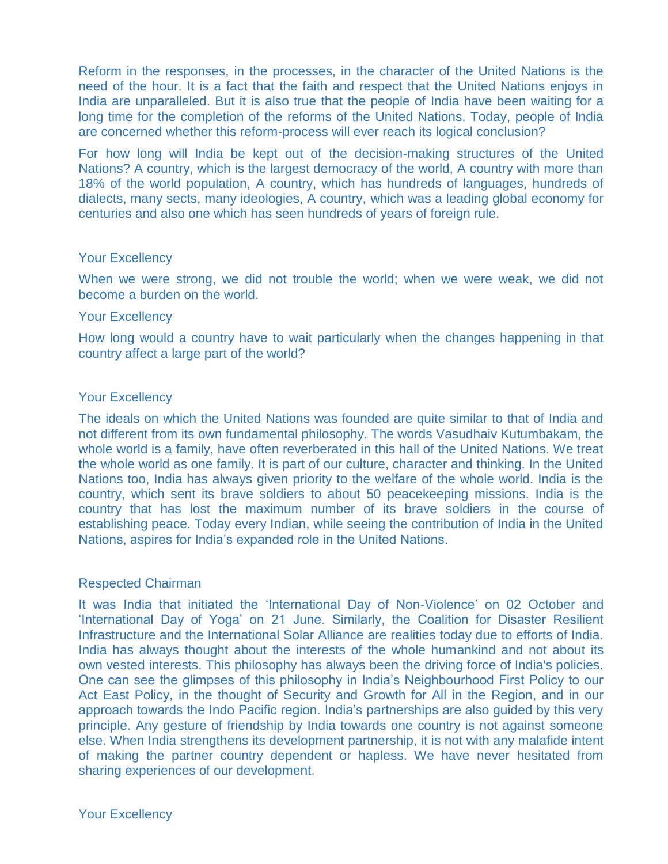Reform in the responses, in the processes, in the character of the United Nations is the need of the hour. It is a fact that the faith and respect that the United Nations enjoys in India are unparalleled. But it is also true that the people of India have been waiting for a long time for the completion of the reforms of the United Nations. Today, people of India are concerned whether this reform-process will ever reach its logical conclusion?

For how long will India be kept out of the decision-making structures of the United Nations? A country, which is the largest democracy of the world, A country with more than 18% of the world population, A country, which has hundreds of languages, hundreds of dialects, many sects, many ideologies, A country, which was a leading global economy for centuries and also one which has seen hundreds of years of foreign rule.

#### Your Excellency

When we were strong, we did not trouble the world; when we were weak, we did not become a burden on the world.

#### Your Excellency

How long would a country have to wait particularly when the changes happening in that country affect a large part of the world?

### Your Excellency

The ideals on which the United Nations was founded are quite similar to that of India and not different from its own fundamental philosophy. The words Vasudhaiv Kutumbakam, the whole world is a family, have often reverberated in this hall of the United Nations. We treat the whole world as one family. It is part of our culture, character and thinking. In the United Nations too, India has always given priority to the welfare of the whole world. India is the country, which sent its brave soldiers to about 50 peacekeeping missions. India is the country that has lost the maximum number of its brave soldiers in the course of establishing peace. Today every Indian, while seeing the contribution of India in the United Nations, aspires for India"s expanded role in the United Nations.

#### Respected Chairman

It was India that initiated the "International Day of Non-Violence" on 02 October and "International Day of Yoga" on 21 June. Similarly, the Coalition for Disaster Resilient Infrastructure and the International Solar Alliance are realities today due to efforts of India. India has always thought about the interests of the whole humankind and not about its own vested interests. This philosophy has always been the driving force of India's policies. One can see the glimpses of this philosophy in India"s Neighbourhood First Policy to our Act East Policy, in the thought of Security and Growth for All in the Region, and in our approach towards the Indo Pacific region. India"s partnerships are also guided by this very principle. Any gesture of friendship by India towards one country is not against someone else. When India strengthens its development partnership, it is not with any malafide intent of making the partner country dependent or hapless. We have never hesitated from sharing experiences of our development.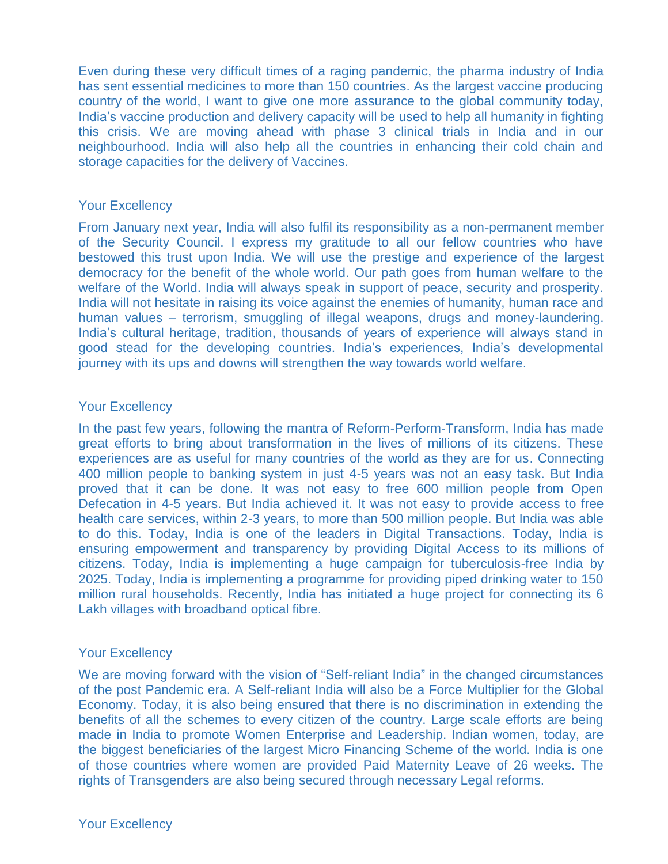Even during these very difficult times of a raging pandemic, the pharma industry of India has sent essential medicines to more than 150 countries. As the largest vaccine producing country of the world, I want to give one more assurance to the global community today, India"s vaccine production and delivery capacity will be used to help all humanity in fighting this crisis. We are moving ahead with phase 3 clinical trials in India and in our neighbourhood. India will also help all the countries in enhancing their cold chain and storage capacities for the delivery of Vaccines.

### Your Excellency

From January next year, India will also fulfil its responsibility as a non-permanent member of the Security Council. I express my gratitude to all our fellow countries who have bestowed this trust upon India. We will use the prestige and experience of the largest democracy for the benefit of the whole world. Our path goes from human welfare to the welfare of the World. India will always speak in support of peace, security and prosperity. India will not hesitate in raising its voice against the enemies of humanity, human race and human values – terrorism, smuggling of illegal weapons, drugs and money-laundering. India"s cultural heritage, tradition, thousands of years of experience will always stand in good stead for the developing countries. India"s experiences, India"s developmental journey with its ups and downs will strengthen the way towards world welfare.

### Your Excellency

In the past few years, following the mantra of Reform-Perform-Transform, India has made great efforts to bring about transformation in the lives of millions of its citizens. These experiences are as useful for many countries of the world as they are for us. Connecting 400 million people to banking system in just 4-5 years was not an easy task. But India proved that it can be done. It was not easy to free 600 million people from Open Defecation in 4-5 years. But India achieved it. It was not easy to provide access to free health care services, within 2-3 years, to more than 500 million people. But India was able to do this. Today, India is one of the leaders in Digital Transactions. Today, India is ensuring empowerment and transparency by providing Digital Access to its millions of citizens. Today, India is implementing a huge campaign for tuberculosis-free India by 2025. Today, India is implementing a programme for providing piped drinking water to 150 million rural households. Recently, India has initiated a huge project for connecting its 6 Lakh villages with broadband optical fibre.

#### Your Excellency

We are moving forward with the vision of "Self-reliant India" in the changed circumstances of the post Pandemic era. A Self-reliant India will also be a Force Multiplier for the Global Economy. Today, it is also being ensured that there is no discrimination in extending the benefits of all the schemes to every citizen of the country. Large scale efforts are being made in India to promote Women Enterprise and Leadership. Indian women, today, are the biggest beneficiaries of the largest Micro Financing Scheme of the world. India is one of those countries where women are provided Paid Maternity Leave of 26 weeks. The rights of Transgenders are also being secured through necessary Legal reforms.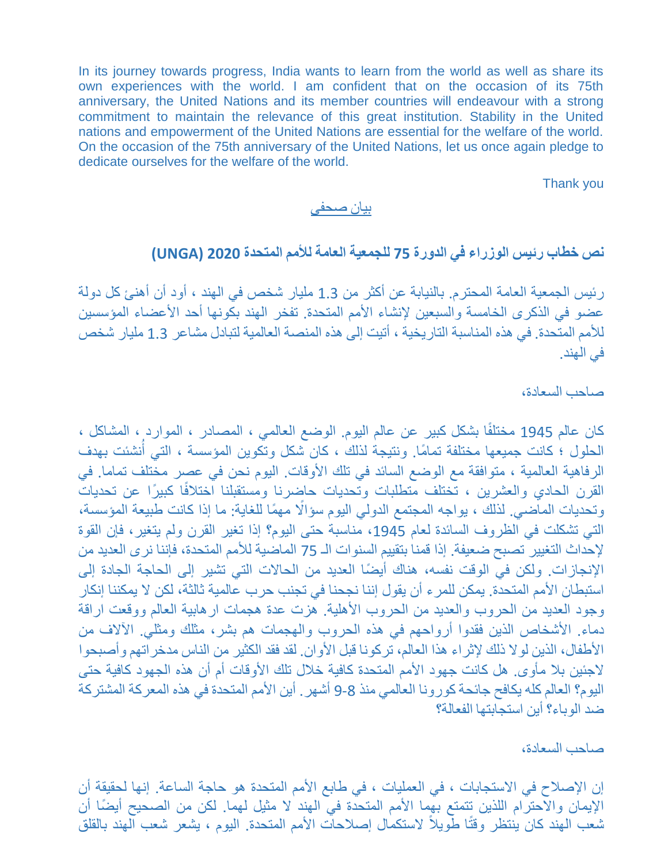In its journey towards progress, India wants to learn from the world as well as share its own experiences with the world. I am confident that on the occasion of its 75th anniversary, the United Nations and its member countries will endeavour with a strong commitment to maintain the relevance of this great institution. Stability in the United nations and empowerment of the United Nations are essential for the welfare of the world. On the occasion of the 75th anniversary of the United Nations, let us once again pledge to dedicate ourselves for the welfare of the world.

Thank you

### بيا*ن ص*حف*ى*

# **نص خطاب رئيس الوزراء في الدورة 75 للجمعية العامة لألمم المتحدة 2020 (UNGA(**

ر بُيس الجمعية العامة المحترم. بالنيابة عن أكثر من 1.3 مليار شخص في الهند ، أود أن أهنئ كل دولة عضو في الذكرى الخامسة والسبعين لإنشاء الأمم المتحدة. تفخر الهند بكونها أحد الأعضاء المؤسسين للأمم المتحدة. في هذه المناسبة التاريخية ، أتيت إلى هذه المنصبة العالمية لتبادل مشاعر 1.3 مليار شخص في الهند.

# صاحب السعادة،

كان عالم 1945 مختلفًا بشكل كبير عن عالم اليوم. الوضع العالمي ، المصـادر ، الموارد ، المشاكل ، ً الحلول ؛ كانت جميعها مختلفة تمامًا. ونتيجة لذلك ، كان شكل وتكوين المؤسسة ، التي أنشئت بهدف الرفاهية العالمية ، متوافقة مع الوضع السائد في تلك الأوقات. اليوم نحن في عصر مختلف تماما. في القرن الحادي والعشرين ، تختلف متطلبات وتحديات حاضرنا ومستقبلنا اختلافًا كبيرًا عن تحديات وتحديات المـاّضـي. لذلك ، يواجه المجتمع الدولي اليوم سؤالًا مهمًا للغاية: ما إذا كانت طبيعة المؤسسة، التي تشكلت في الظروف السائدة لعام 1945، مناسبة حتى اليوم؟ إذا تغير القرن ولم يتغير، فإن القوة لإحداث التغيير تصبح ضعيفة. إذا قمنا بتقييم السنوات الـ 75 الماضية للأمم المتحدة، فإننا نرى العديد من الإنجازات. ولكن في الوقت نفسه، هناك أيضًا العديد من الحالات التي تشير إلى الحاجة الجادة إلى استبطان الأمم المتحدة. يمكن للمرء أن يقول إننا نجحنا في تجنب حرب عالمية ثالثة، لكن لا يمكننا إنكار وجود العديد من الحروب والعديد من الحروب الأهلية. هزت عدة هجمات ارهابية العالم ووقعت اراقة دماء. الأشخاص الذين فقدوا أرواحهم في هذه الحروب والهجمات هم بشر، مثلك ومثلي. الآلاف من الأطفال، الذين لولا ذلك لإثراء هذا العالم، تركونا قبل الأوان. لقد فقد الكثير من الناس مدخراتهم وأصبحوا لاجئين بلا مأوى. هل كانت جهود الأمم المتحدة كافية خلال تلك الأوقات أم أن هذه الجهود كافية حتى اليوم؟ العالم كله يكافح جائحة كورونا العالمي منذ 8-9 أشهر . أين الأمم المتحدة في هذه المعركة المشتركة ضد الوباء؟ أبن استجابتها الفعالة؟

### صاحب السعادة،

إن الإصلاح في الاستجابات ، في العمليات ، في طابع الأمم المتحدة هو حاجة الساعة. إنها لحقيقة أن الإيمان والاحترام اللذين تتمتع بهما الأمم المتحدة في الهند لا مثيل لهما. لكن من الصحيح أيضًا أن شعب المهند كان ينتظر وقتًا طويلاً لاستكمال إصلاحات الأمم المتحدة. اليوم ، يشعر شعب الهند بالقلق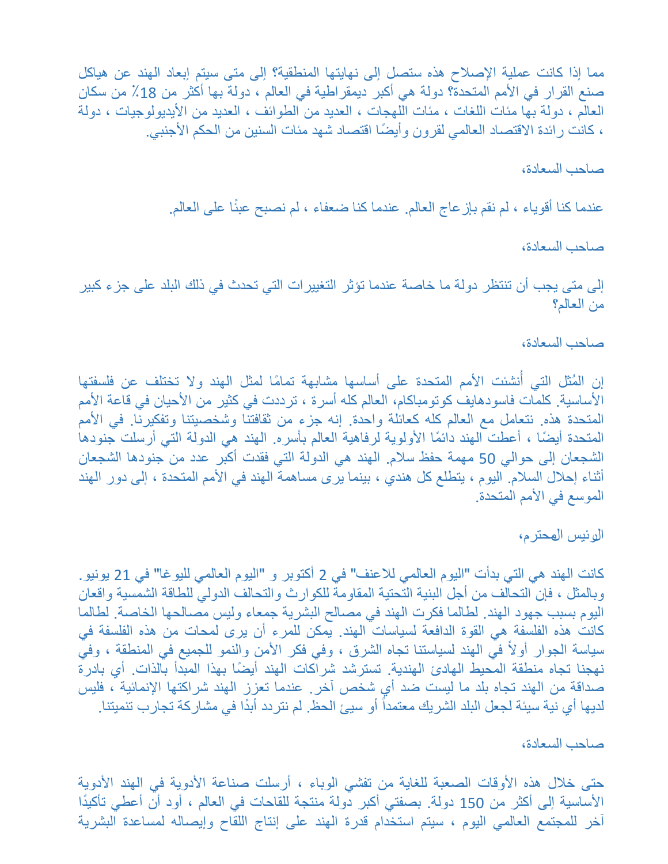مما إذا كانت عملية الإصلاح هذه ستصل إلى نهايتها المنطقية؟ إلى متى سيتم إبعاد الهند عن هياكل صنع القرار في الأمم المتحدة؟ دولة هي أكبر ديمقراطية في العالم ، دولة بها أكثر من 18٪ من سكان العالم ، دولة بها مئات اللغات ، مئات اللهجات ، العديد من الطوائف ، العديد من الأيديولوجيات ، دولة ، كانت رائدة الاقتصاد العالمي لقرون وأيضًا اقتصاد شهد مئات السنين من الحكم الأجنبي.

# صاحب السعادة،

عندما كنا أقوياء ، لم نقم بإز عاج العالم. عندما كنا ضعفاء ، لم نصبح عبئًا على العالم.

# صاحب السعادة،

إلى متى يجب أن تنتظر دولة ما خاصة عندما تؤثر التغييرات التي تحدث في ذلك البلد على جزء كبير من العالم؟

# صاحب السعادة،

ِ ا إن المُثل التي أنشئت الأمم المتحدة على أساسها مشابهة تمامًا لمثل الهند ولا تختلف عن فلسفتها الأساسية. كلمات فاسودهايف كوتومباكام، العالم كله أسرة ، ترددت في كثير من الأحيان في قاعة الأمم المتحدة هذه. نتعامل مع العالم كله كعائلة واحدة. إنه جزء من ثقافتنا وشخصيتنا وتفكيرنا. في الأمم المتحدة أيضًا ، أعطت الهند دائمًا الأولوية لرفاهية العالم بأسره. الهند هي الدولة التي أرسلت جنودها الشجعان إلى حوالي 50 مهمة حفظ سلام. الهند هي الدولة التي فقدت أكبر عدد من جنودها الشجعان أثناء إحلال السلام. اليوم ، يتطلع كل هندي ، بينما يرى مساهمة الهند في الأمم المتحدة ، إلى دور الهند الموسع في الأمم المتحدة.

# الربٌس المحترم،

كانت الهند هي التي بدأت "اليوم العالمي للاعنف" في 2 أكتوبر و "اليوم العالمي لليوغا" في 21 يونيو. وبالمثل ، فإن التحالف من أجل البنية التحتية المقاومة للكوارث والتحالف الدولي للطاقة الشمسية واقعان اليوم بسبب جهود الهند. لطالما فكرت الهند في مصالح البشرية جمعاء وليس مصالحها الخاصة. لطالما كانت هذه الفلسفة هي القوة الدافعة لسياسات الهند. يمكن للمرء أن يرى لمحات من هذه الفلسفة فى سياسة الجوار أولاً في الهند لسياستنا تجاه الشرق ، وفي فكر الأمن والنمو للجميع في المنطقة ، وفي نهجنا تجاه منطقة المحيط الهادئ الهندية. تسترشد شراكات الهند أيضًا بهذا المبدأ بالذات. أي بادرة صداقة من الهند تجاه بلد ما ليست ضد أي شخص آخر . عندما تعزز الهند شراكتها الإنمائية ، فليس لديها أي نية سيئة لجعل البلد الشريك معتمداً أو سيئ الحظ. لم نتردد أبدًا في مشاركة تجارب تنميتنا.

### صاحب السعادة،

حتى خلال هذه الأوقات الصعبة للغاية من تفشَّى الوباء ، أرسلت صناعة الأدوية في الهند الأدوية الأساسية إلى أكثر من 150 دولة. بصفتي أكبر دولة منتجة للقاحات في العالم ، أود أن أعطى تأكيدًا آخر للمجتمع العالمي اليوم ، سيتم استخدام قدرة الهند على إنتاج اللقاح وإيصاله لمساعدة البشرية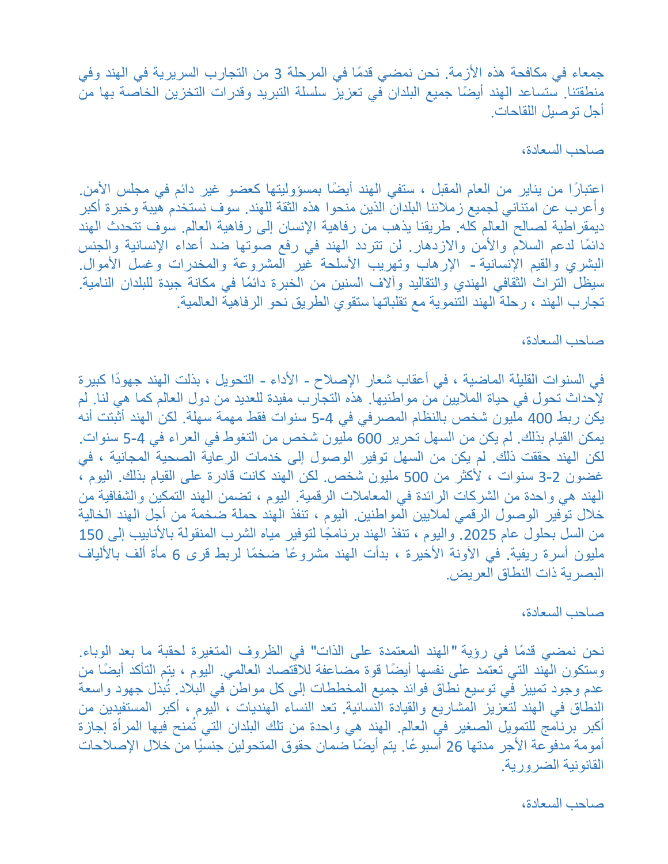جمعاء في مكافحة هذه الأزمة. نحن نمضي قدمًا في المرحلة 3 من التجارب السريرية في الهند وفي منطقتنا. ستساعد الهند أيضًا جميع البلدان في تعزيز سلسلة التبريد وقدرات التخزين الخاصة بها من أجل تو صبل اللقاحات.

## صاحب السعادة،

اعتبارًا من يناير من العام المقبل ، ستفي الهند أيضًا بمسؤوليتها كعضو غير دائم في مجلس الأمن. وأعرب عن امتناني لجميع زملائنا البلدان الذين منحوا هذه الثقة للهند. سوف نستخدم هيبة وخبرة أكبر ديمقراطية لصالح العالم كله. طريقنا يذهب من رفاهية الإنسان إلى رفاهية العالم. سوف تتحدث الهند دائمًا لدعم السلام والأمن والازدهار. لن تتردد الهند في رفع صوتها ضد أعداء الإنسانية والجنس البشري والقيم الإنسانية - الإرهاب وتهريب الأسلحة غير المشروعة والمخدرات وغسل الأموال. سيظل التراث الثقافي الهندي والتقاليد وآلاف السنين من الخبرة دائمًا في مكانة جيدة للبلدان النامية. تجارب الهند ، رحلة الهند التنموية مع تقلباتها ستقوي الطريق نحو الرفاهية العالمية.

## صاحب السعادة،

في السنوات القليلة الماضية ، في أعقاب شعار الإصلاح - الأداء - التحويل ، بذلت الهند جهودًا كبيرة لإحداث تحول في حياة الملايين من مواطنيها. هذه التجارب مفيدة للعديد من دول العالم كما هي لنا. لم يكن ربط 400 مليون شخص بالنظام المصرفي في 4-5 سنوات فقط مهمة سهلة. لكن الهند أثبتت أنه يمكن القيام بذلك. لم يكن من السهل تحرير 600 مليون شخص من التغوط في العراء في 4-5 سنوات. لكن الهند حققت ذلك. لم يكن من السهل توفير الوصول إلى خدمات الرعاية الصحية المجانية ، في غضون 2-3 سنوات ، لأكثر من 500 مليون شخص. لكن الهند كانت قادرة على القيام بذلك. اليوم ، الهند هي واحدة من الشركات الرائدة في المعاملات الرقمية. اليوم ، تضمن الهند التمكين والشفافية من خلال توفير الوصول الرقمي لملايين المواطنين. اليوم ، تنفذ الهند حملة ضخمة من أجل الهند الخالية من السل بحلول عام 2025. واليوم ، تنفذ الهند برنامجًا لتوفير مياه الشرب المنقولة بالأنابيب إلى 150 مليون أسرة ريفية. في الأونة الأخيرة ، بدأت الهند مشروعًا ضخمًا لربط قرى 6 مأة ألف بالألياف البصرية ذات النطاق العريض.

### صاحب السعادة،

نحن نمضي قدمًا في رؤية "الهند المعتمدة على الذات" في الظروف المتغيرة لحقبة ما بعد الوباء. وستكون المُهند التي تُعتمد على نفسها أيضًا قوة مضاعفة للاقتصاد العالمي. اليوم ، يتم التأكد أيضًا من عدم وجود تمييز فّي توسيع نطاق فوائد جميع المخططات إلى كل مواطن ّ في البلاد. تُبِّذل جهود واسعة النطاق في الهند لتعزيز المشاريع والقيادة النسائية. تعد النساء الهنديات ، اليوم ، أكبر المستفيدين من أكبر برنامج للتمويل الصغير في العالم. الهند هي واحدة من تلك البلدان التي تُمنح فيها المرأة إجازة أمومة مدفوعة الأجر مدتها 26 أسبوعًا. يتم أيضًا ضمان حقوق المتحولين جنسيًا من خلال الإصلاحات القانونية الضرورية.

# صاحب السعادة،